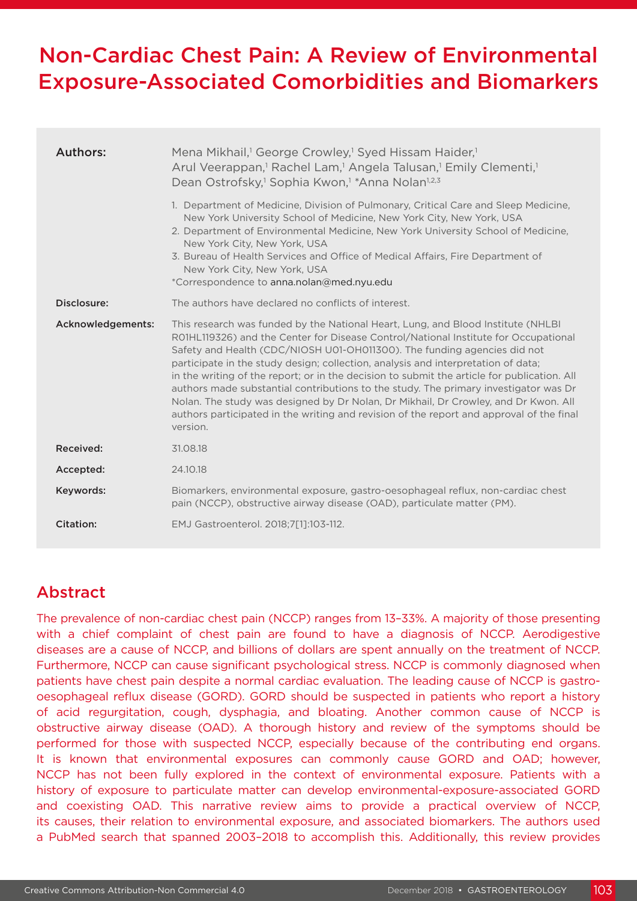# Non-Cardiac Chest Pain: A Review of Environmental Exposure-Associated Comorbidities and Biomarkers

| Authors:          | Mena Mikhail, <sup>1</sup> George Crowley, <sup>1</sup> Syed Hissam Haider, <sup>1</sup><br>Arul Veerappan, <sup>1</sup> Rachel Lam, <sup>1</sup> Angela Talusan, <sup>1</sup> Emily Clementi, <sup>1</sup><br>Dean Ostrofsky, <sup>1</sup> Sophia Kwon, <sup>1</sup> *Anna Nolan <sup>1,2,3</sup><br>1. Department of Medicine, Division of Pulmonary, Critical Care and Sleep Medicine,<br>New York University School of Medicine, New York City, New York, USA<br>2. Department of Environmental Medicine, New York University School of Medicine,<br>New York City, New York, USA<br>3. Bureau of Health Services and Office of Medical Affairs, Fire Department of<br>New York City, New York, USA<br>*Correspondence to anna.nolan@med.nyu.edu |
|-------------------|------------------------------------------------------------------------------------------------------------------------------------------------------------------------------------------------------------------------------------------------------------------------------------------------------------------------------------------------------------------------------------------------------------------------------------------------------------------------------------------------------------------------------------------------------------------------------------------------------------------------------------------------------------------------------------------------------------------------------------------------------|
| Disclosure:       | The authors have declared no conflicts of interest.                                                                                                                                                                                                                                                                                                                                                                                                                                                                                                                                                                                                                                                                                                  |
| Acknowledgements: | This research was funded by the National Heart, Lung, and Blood Institute (NHLBI)<br>RO1HL119326) and the Center for Disease Control/National Institute for Occupational<br>Safety and Health (CDC/NIOSH U01-OH011300). The funding agencies did not<br>participate in the study design; collection, analysis and interpretation of data;<br>in the writing of the report; or in the decision to submit the article for publication. All<br>authors made substantial contributions to the study. The primary investigator was Dr<br>Nolan. The study was designed by Dr Nolan, Dr Mikhail, Dr Crowley, and Dr Kwon. All<br>authors participated in the writing and revision of the report and approval of the final<br>version.                      |
| Received:         | 31.08.18                                                                                                                                                                                                                                                                                                                                                                                                                                                                                                                                                                                                                                                                                                                                             |
| Accepted:         | 24.10.18                                                                                                                                                                                                                                                                                                                                                                                                                                                                                                                                                                                                                                                                                                                                             |
| Keywords:         | Biomarkers, environmental exposure, gastro-oesophageal reflux, non-cardiac chest<br>pain (NCCP), obstructive airway disease (OAD), particulate matter (PM).                                                                                                                                                                                                                                                                                                                                                                                                                                                                                                                                                                                          |
| Citation:         | EMJ Gastroenterol. 2018;7[1]:103-112.                                                                                                                                                                                                                                                                                                                                                                                                                                                                                                                                                                                                                                                                                                                |

# Abstract

The prevalence of non-cardiac chest pain (NCCP) ranges from 13–33%. A majority of those presenting with a chief complaint of chest pain are found to have a diagnosis of NCCP. Aerodigestive diseases are a cause of NCCP, and billions of dollars are spent annually on the treatment of NCCP. Furthermore, NCCP can cause significant psychological stress. NCCP is commonly diagnosed when patients have chest pain despite a normal cardiac evaluation. The leading cause of NCCP is gastrooesophageal reflux disease (GORD). GORD should be suspected in patients who report a history of acid regurgitation, cough, dysphagia, and bloating. Another common cause of NCCP is obstructive airway disease (OAD). A thorough history and review of the symptoms should be performed for those with suspected NCCP, especially because of the contributing end organs. It is known that environmental exposures can commonly cause GORD and OAD; however, NCCP has not been fully explored in the context of environmental exposure. Patients with a history of exposure to particulate matter can develop environmental-exposure-associated GORD and coexisting OAD. This narrative review aims to provide a practical overview of NCCP, its causes, their relation to environmental exposure, and associated biomarkers. The authors used a PubMed search that spanned 2003–2018 to accomplish this. Additionally, this review provides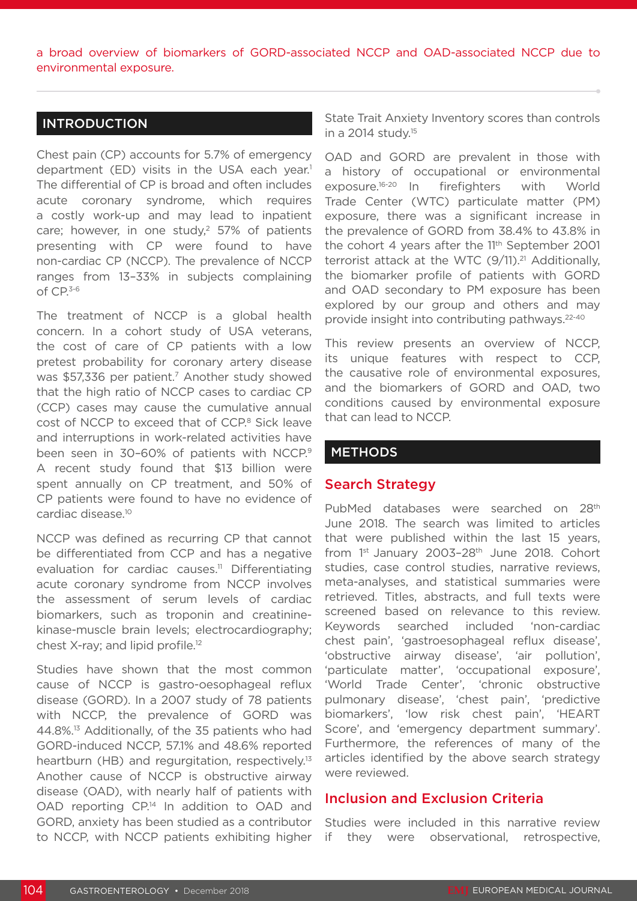a broad overview of biomarkers of GORD-associated NCCP and OAD-associated NCCP due to environmental exposure.

### INTRODUCTION

Chest pain (CP) accounts for 5.7% of emergency department (ED) visits in the USA each year.<sup>1</sup> The differential of CP is broad and often includes acute coronary syndrome, which requires a costly work-up and may lead to inpatient care; however, in one study, $2$  57% of patients presenting with CP were found to have non-cardiac CP (NCCP). The prevalence of NCCP ranges from 13–33% in subjects complaining of CP.3-6

The treatment of NCCP is a global health concern. In a cohort study of USA veterans, the cost of care of CP patients with a low pretest probability for coronary artery disease was \$57,336 per patient.<sup>7</sup> Another study showed that the high ratio of NCCP cases to cardiac CP (CCP) cases may cause the cumulative annual cost of NCCP to exceed that of CCP.<sup>8</sup> Sick leave and interruptions in work-related activities have been seen in 30-60% of patients with NCCP.<sup>9</sup> A recent study found that \$13 billion were spent annually on CP treatment, and 50% of CP patients were found to have no evidence of cardiac disease.10

NCCP was defined as recurring CP that cannot be differentiated from CCP and has a negative evaluation for cardiac causes.<sup>11</sup> Differentiating acute coronary syndrome from NCCP involves the assessment of serum levels of cardiac biomarkers, such as troponin and creatininekinase-muscle brain levels; electrocardiography; chest X-ray; and lipid profile.12

Studies have shown that the most common cause of NCCP is gastro-oesophageal reflux disease (GORD). In a 2007 study of 78 patients with NCCP, the prevalence of GORD was 44.8%.13 Additionally, of the 35 patients who had GORD-induced NCCP, 57.1% and 48.6% reported heartburn (HB) and regurgitation, respectively.<sup>13</sup> Another cause of NCCP is obstructive airway disease (OAD), with nearly half of patients with OAD reporting CP.<sup>14</sup> In addition to OAD and GORD, anxiety has been studied as a contributor to NCCP, with NCCP patients exhibiting higher State Trait Anxiety Inventory scores than controls in a 2014 study.15

OAD and GORD are prevalent in those with a history of occupational or environmental exposure.16-20 In firefighters with World Trade Center (WTC) particulate matter (PM) exposure, there was a significant increase in the prevalence of GORD from 38.4% to 43.8% in the cohort 4 years after the 11<sup>th</sup> September 2001 terrorist attack at the WTC  $(9/11).^{21}$  Additionally, the biomarker profile of patients with GORD and OAD secondary to PM exposure has been explored by our group and others and may provide insight into contributing pathways.22-40

This review presents an overview of NCCP, its unique features with respect to CCP, the causative role of environmental exposures, and the biomarkers of GORD and OAD, two conditions caused by environmental exposure that can lead to NCCP.

### **METHODS**

### Search Strategy

PubMed databases were searched on 28<sup>th</sup> June 2018. The search was limited to articles that were published within the last 15 years, from 1st January 2003-28th June 2018. Cohort studies, case control studies, narrative reviews, meta-analyses, and statistical summaries were retrieved. Titles, abstracts, and full texts were screened based on relevance to this review. Keywords searched included 'non-cardiac chest pain', 'gastroesophageal reflux disease', 'obstructive airway disease', 'air pollution', 'particulate matter', 'occupational exposure', 'World Trade Center', 'chronic obstructive pulmonary disease', 'chest pain', 'predictive biomarkers', 'low risk chest pain', 'HEART Score', and 'emergency department summary'. Furthermore, the references of many of the articles identified by the above search strategy were reviewed.

### Inclusion and Exclusion Criteria

Studies were included in this narrative review if they were observational, retrospective,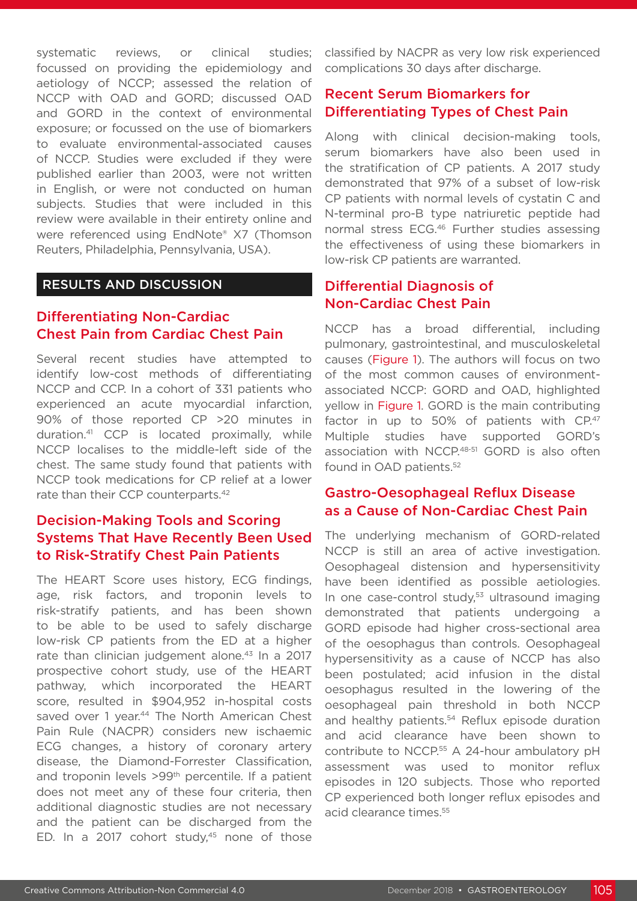systematic reviews, or clinical studies; focussed on providing the epidemiology and aetiology of NCCP; assessed the relation of NCCP with OAD and GORD; discussed OAD and GORD in the context of environmental exposure; or focussed on the use of biomarkers to evaluate environmental-associated causes of NCCP. Studies were excluded if they were published earlier than 2003, were not written in English, or were not conducted on human subjects. Studies that were included in this review were available in their entirety online and were referenced using EndNote® X7 (Thomson Reuters, Philadelphia, Pennsylvania, USA).

### RESULTS AND DISCUSSION

# Differentiating Non-Cardiac Chest Pain from Cardiac Chest Pain

Several recent studies have attempted to identify low-cost methods of differentiating NCCP and CCP. In a cohort of 331 patients who experienced an acute myocardial infarction, 90% of those reported CP >20 minutes in duration.41 CCP is located proximally, while NCCP localises to the middle-left side of the chest. The same study found that patients with NCCP took medications for CP relief at a lower rate than their CCP counterparts.<sup>42</sup>

# Decision-Making Tools and Scoring Systems That Have Recently Been Used to Risk-Stratify Chest Pain Patients

The HEART Score uses history, ECG findings, age, risk factors, and troponin levels to risk-stratify patients, and has been shown to be able to be used to safely discharge low-risk CP patients from the ED at a higher rate than clinician judgement alone.<sup>43</sup> In a 2017 prospective cohort study, use of the HEART pathway, which incorporated the HEART score, resulted in \$904,952 in-hospital costs saved over 1 year.<sup>44</sup> The North American Chest Pain Rule (NACPR) considers new ischaemic ECG changes, a history of coronary artery disease, the Diamond-Forrester Classification, and troponin levels >99th percentile. If a patient does not meet any of these four criteria, then additional diagnostic studies are not necessary and the patient can be discharged from the ED. In a 2017 cohort study, $45$  none of those

classified by NACPR as very low risk experienced complications 30 days after discharge.

# Recent Serum Biomarkers for Differentiating Types of Chest Pain

Along with clinical decision-making tools, serum biomarkers have also been used in the stratification of CP patients. A 2017 study demonstrated that 97% of a subset of low-risk CP patients with normal levels of cystatin C and N-terminal pro-B type natriuretic peptide had normal stress ECG.46 Further studies assessing the effectiveness of using these biomarkers in low-risk CP patients are warranted.

# Differential Diagnosis of Non-Cardiac Chest Pain

NCCP has a broad differential, including pulmonary, gastrointestinal, and musculoskeletal causes (Figure 1). The authors will focus on two of the most common causes of environmentassociated NCCP: GORD and OAD, highlighted yellow in Figure 1. GORD is the main contributing factor in up to 50% of patients with CP.47 Multiple studies have supported GORD's association with NCCP.48-51 GORD is also often found in OAD patients.<sup>52</sup>

### Gastro-Oesophageal Reflux Disease as a Cause of Non-Cardiac Chest Pain

The underlying mechanism of GORD-related NCCP is still an area of active investigation. Oesophageal distension and hypersensitivity have been identified as possible aetiologies. In one case-control study,<sup>53</sup> ultrasound imaging demonstrated that patients undergoing a GORD episode had higher cross-sectional area of the oesophagus than controls. Oesophageal hypersensitivity as a cause of NCCP has also been postulated; acid infusion in the distal oesophagus resulted in the lowering of the oesophageal pain threshold in both NCCP and healthy patients.<sup>54</sup> Reflux episode duration and acid clearance have been shown to contribute to NCCP.55 A 24-hour ambulatory pH assessment was used to monitor reflux episodes in 120 subjects. Those who reported CP experienced both longer reflux episodes and acid clearance times.<sup>55</sup>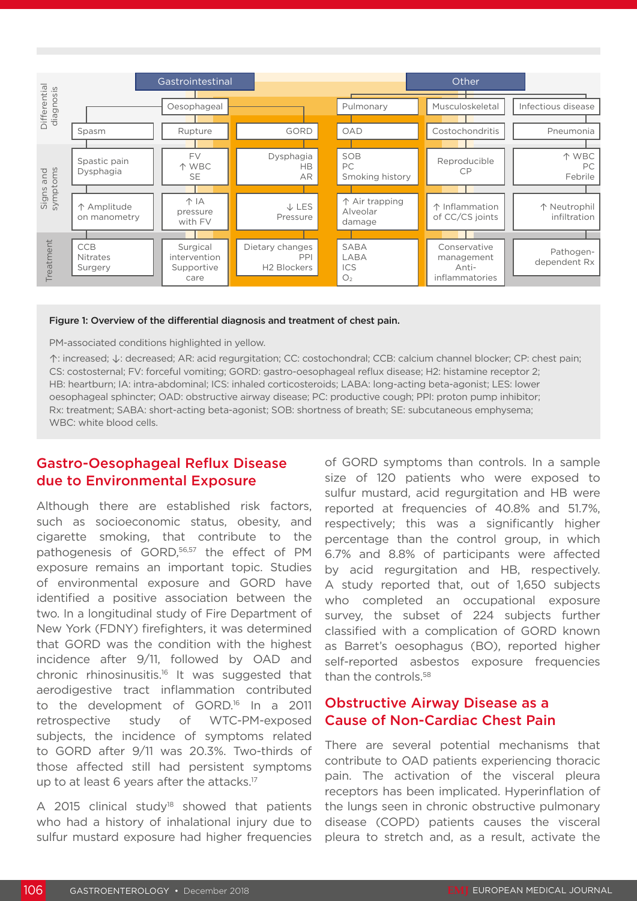

#### Figure 1: Overview of the differential diagnosis and treatment of chest pain.

#### PM-associated conditions highlighted in yellow.

↑: increased; ↓: decreased; AR: acid regurgitation; CC: costochondral; CCB: calcium channel blocker; CP: chest pain; CS: costosternal; FV: forceful vomiting; GORD: gastro-oesophageal reflux disease; H2: histamine receptor 2; HB: heartburn; IA: intra-abdominal; ICS: inhaled corticosteroids; LABA: long-acting beta-agonist; LES: lower oesophageal sphincter; OAD: obstructive airway disease; PC: productive cough; PPI: proton pump inhibitor; Rx: treatment; SABA: short-acting beta-agonist; SOB: shortness of breath; SE: subcutaneous emphysema; WBC: white blood cells.

# Gastro-Oesophageal Reflux Disease due to Environmental Exposure

Although there are established risk factors, such as socioeconomic status, obesity, and cigarette smoking, that contribute to the pathogenesis of GORD,<sup>56,57</sup> the effect of PM exposure remains an important topic. Studies of environmental exposure and GORD have identified a positive association between the two. In a longitudinal study of Fire Department of New York (FDNY) firefighters, it was determined that GORD was the condition with the highest incidence after 9/11, followed by OAD and chronic rhinosinusitis.16 It was suggested that aerodigestive tract inflammation contributed to the development of GORD.16 In a 2011 retrospective study of WTC-PM-exposed subjects, the incidence of symptoms related to GORD after 9/11 was 20.3%. Two-thirds of those affected still had persistent symptoms up to at least 6 years after the attacks.<sup>17</sup>

A 2015 clinical study<sup>18</sup> showed that patients who had a history of inhalational injury due to sulfur mustard exposure had higher frequencies

of GORD symptoms than controls. In a sample size of 120 patients who were exposed to sulfur mustard, acid regurgitation and HB were reported at frequencies of 40.8% and 51.7%, respectively; this was a significantly higher percentage than the control group, in which 6.7% and 8.8% of participants were affected by acid regurgitation and HB, respectively. A study reported that, out of 1,650 subjects who completed an occupational exposure survey, the subset of 224 subjects further classified with a complication of GORD known as Barret's oesophagus (BO), reported higher self-reported asbestos exposure frequencies than the controls.<sup>58</sup>

# Obstructive Airway Disease as a Cause of Non-Cardiac Chest Pain

There are several potential mechanisms that contribute to OAD patients experiencing thoracic pain. The activation of the visceral pleura receptors has been implicated. Hyperinflation of the lungs seen in chronic obstructive pulmonary disease (COPD) patients causes the visceral pleura to stretch and, as a result, activate the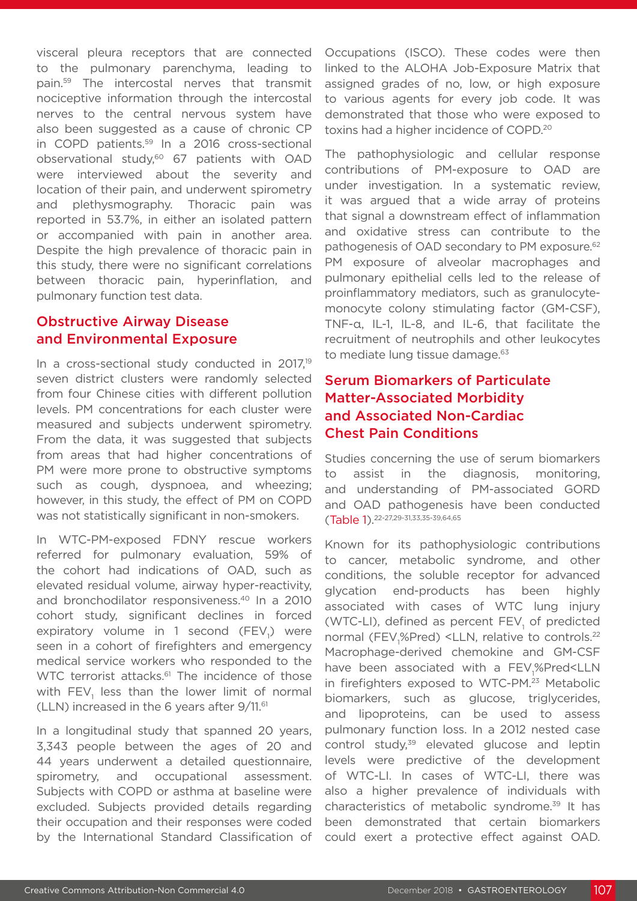visceral pleura receptors that are connected to the pulmonary parenchyma, leading to pain.59 The intercostal nerves that transmit nociceptive information through the intercostal nerves to the central nervous system have also been suggested as a cause of chronic CP in COPD patients.59 In a 2016 cross-sectional observational study,<sup>60</sup> 67 patients with OAD were interviewed about the severity and location of their pain, and underwent spirometry and plethysmography. Thoracic pain was reported in 53.7%, in either an isolated pattern or accompanied with pain in another area. Despite the high prevalence of thoracic pain in this study, there were no significant correlations between thoracic pain, hyperinflation, and pulmonary function test data.

# Obstructive Airway Disease and Environmental Exposure

In a cross-sectional study conducted in 2017,<sup>19</sup> seven district clusters were randomly selected from four Chinese cities with different pollution levels. PM concentrations for each cluster were measured and subjects underwent spirometry. From the data, it was suggested that subjects from areas that had higher concentrations of PM were more prone to obstructive symptoms such as cough, dyspnoea, and wheezing; however, in this study, the effect of PM on COPD was not statistically significant in non-smokers.

In WTC-PM-exposed FDNY rescue workers referred for pulmonary evaluation, 59% of the cohort had indications of OAD, such as elevated residual volume, airway hyper-reactivity, and bronchodilator responsiveness.40 In a 2010 cohort study, significant declines in forced expiratory volume in 1 second (FEV<sub>1</sub>) were seen in a cohort of firefighters and emergency medical service workers who responded to the WTC terrorist attacks.<sup>61</sup> The incidence of those with  $\mathsf{FEV}_1$  less than the lower limit of normal (LLN) increased in the 6 years after 9/11.61

In a longitudinal study that spanned 20 years, 3,343 people between the ages of 20 and 44 years underwent a detailed questionnaire, spirometry, and occupational assessment. Subjects with COPD or asthma at baseline were excluded. Subjects provided details regarding their occupation and their responses were coded by the International Standard Classification of

Occupations (ISCO). These codes were then linked to the ALOHA Job-Exposure Matrix that assigned grades of no, low, or high exposure to various agents for every job code. It was demonstrated that those who were exposed to toxins had a higher incidence of COPD.20

The pathophysiologic and cellular response contributions of PM-exposure to OAD are under investigation. In a systematic review, it was argued that a wide array of proteins that signal a downstream effect of inflammation and oxidative stress can contribute to the pathogenesis of OAD secondary to PM exposure.<sup>62</sup> PM exposure of alveolar macrophages and pulmonary epithelial cells led to the release of proinflammatory mediators, such as granulocytemonocyte colony stimulating factor (GM-CSF), TNF-α, IL-1, IL-8, and IL-6, that facilitate the recruitment of neutrophils and other leukocytes to mediate lung tissue damage.<sup>63</sup>

# Serum Biomarkers of Particulate Matter-Associated Morbidity and Associated Non-Cardiac Chest Pain Conditions

Studies concerning the use of serum biomarkers to assist in the diagnosis, monitoring, and understanding of PM-associated GORD and OAD pathogenesis have been conducted (Table 1).22-27,29-31,33,35-39,64,65

Known for its pathophysiologic contributions to cancer, metabolic syndrome, and other conditions, the soluble receptor for advanced glycation end-products has been highly associated with cases of WTC lung injury (WTC-LI), defined as percent  $FEV<sub>1</sub>$  of predicted normal (FEV<sub>1</sub>%Pred) <LLN, relative to controls.<sup>22</sup> Macrophage-derived chemokine and GM-CSF have been associated with a FEV<sub>1</sub>%Pred<LLN in firefighters exposed to WTC-PM.<sup>23</sup> Metabolic biomarkers, such as glucose, triglycerides, and lipoproteins, can be used to assess pulmonary function loss. In a 2012 nested case control study,<sup>39</sup> elevated glucose and leptin levels were predictive of the development of WTC-LI. In cases of WTC-LI, there was also a higher prevalence of individuals with characteristics of metabolic syndrome.39 It has been demonstrated that certain biomarkers could exert a protective effect against OAD.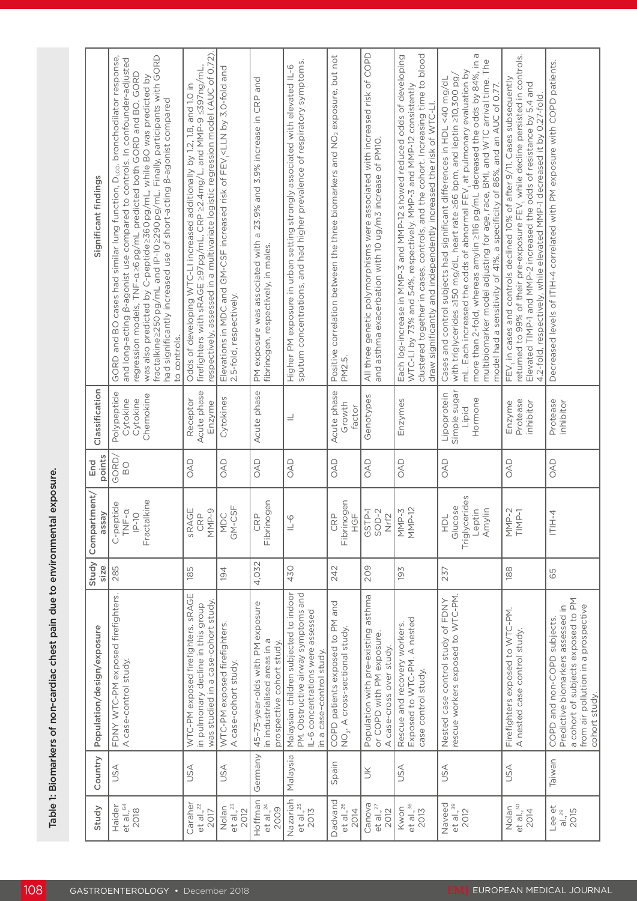| Significant findings       | fractalkine >250 pg/mL and IP-10 >290 pg/mL. Finally, participants with GORD<br>GORD and BO cases had similar lung function, D <sub>LCO</sub> , bronchodilator response<br>and long-acting B-agonist use compared to controls. In confounder-adjusted<br>regression models, TNF-a26pg/mL predicted both GORD and BO. GORD<br>was also predicted by C-peptide 2360 pg/mL, while BO was predicted by<br>had significantly increased use of short-acting B-agonist compared<br>to controls. | respectively, assessed in a multivariate logistic regression model (AUC of 0.72).<br>firefighters with sRAGE ≥97pg/mL, CRP ≥2.4mg/L, and MMP-9 ≤397ng/mL,<br>Odds of developing WTC-LI increased additionally by 1.2, 1.8, and 1.0 in | Elevations in MDC and GM-CSF increased risk of FEV <sub>1</sub> <lln 3.0-fold="" and<br="" by="">2.5-fold, respectively.</lln> | PM exposure was associated with a 23.9% and 3.9% increase in CRP and<br>fibrinogen, respectively, in males. | sputum concentrations, and had higher prevalence of respiratory symptoms.<br>Higher PM exposure in urban setting strongly associated with elevated IL-6 | Positive correlation between the three biomarkers and NO <sub>2</sub> exposure, but not<br>PM2.5. | All three genetic polymorphisms were associated with increased risk of COPD<br>and asthma exacerbation with 10 ug/m3 increase of PM10. | clustered together in cases, controls, and the cohort. Increasing time to blood<br>Each log-increase in MMP-3 and MMP-12 showed reduced odds of developing<br>WTC-LI by 73% and 54%, respectively. MMP-3 and MMP-12 consistently<br>draw significantly and independently increased the risk of WTC-LI. | more than 2-fold, whereas amylin 2116 pg/mL decreased the odds by 84%, in a<br>multibiomarker model adjusting for age, race, BMI, and WTC arrival time. The<br>mL. Each increased the odds of abnormal FEV, at pulmonary evaluation by<br>with triglycerides ≥150 mg/dL, heart rate ≥66 bpm, and leptin ≥10,300 pg,<br>Cases and control subjects had significant differences in HDL <40 mg/dL<br>model had a sensitivity of 41%, a specificity of 86%, and an AUC of 0.77. | returned to 99% of their pre-exposure FEV, while decline persisted in controls.<br>FEV, in cases and controls declined 10% of after 9/11. Cases subsequently<br>Elevated TIMP-1 and MMP-2 increased the odds of resistance by 5.4 and<br>4.2-fold, respectively, while elevated MMP-1 decreased it by 0.27-fold. | Decreased levels of ITIH-4 correlated with PM exposure with COPD patients.                                                                                     |
|----------------------------|------------------------------------------------------------------------------------------------------------------------------------------------------------------------------------------------------------------------------------------------------------------------------------------------------------------------------------------------------------------------------------------------------------------------------------------------------------------------------------------|---------------------------------------------------------------------------------------------------------------------------------------------------------------------------------------------------------------------------------------|--------------------------------------------------------------------------------------------------------------------------------|-------------------------------------------------------------------------------------------------------------|---------------------------------------------------------------------------------------------------------------------------------------------------------|---------------------------------------------------------------------------------------------------|----------------------------------------------------------------------------------------------------------------------------------------|--------------------------------------------------------------------------------------------------------------------------------------------------------------------------------------------------------------------------------------------------------------------------------------------------------|-----------------------------------------------------------------------------------------------------------------------------------------------------------------------------------------------------------------------------------------------------------------------------------------------------------------------------------------------------------------------------------------------------------------------------------------------------------------------------|------------------------------------------------------------------------------------------------------------------------------------------------------------------------------------------------------------------------------------------------------------------------------------------------------------------|----------------------------------------------------------------------------------------------------------------------------------------------------------------|
| Classification             | Polypeptide<br>Chemokine<br>Cytokine<br>Cytokine                                                                                                                                                                                                                                                                                                                                                                                                                                         | Acute phase<br>Receptor<br>Enzyme                                                                                                                                                                                                     | Cytokines                                                                                                                      | Acute phase                                                                                                 | $=$                                                                                                                                                     | Acute phase<br>Growth<br>factor                                                                   | Genotypes                                                                                                                              | Enzymes                                                                                                                                                                                                                                                                                                | Simple sugar<br>Lipoprotein<br>Hormone<br>Lipid                                                                                                                                                                                                                                                                                                                                                                                                                             | Protease<br>inhibitor<br>Enzyme                                                                                                                                                                                                                                                                                  | Protease<br>inhibitor                                                                                                                                          |
| points<br>End              | GORD,<br>$\overline{D}$                                                                                                                                                                                                                                                                                                                                                                                                                                                                  | OAD                                                                                                                                                                                                                                   | OAD                                                                                                                            | OAD                                                                                                         | OAD                                                                                                                                                     | OAD                                                                                               | OAD                                                                                                                                    | OAD                                                                                                                                                                                                                                                                                                    | OAD                                                                                                                                                                                                                                                                                                                                                                                                                                                                         | OAD                                                                                                                                                                                                                                                                                                              | OAD                                                                                                                                                            |
| Compartment/<br>assay      | Fractalkine<br>C-peptide<br>TNF-a<br>$P-10$                                                                                                                                                                                                                                                                                                                                                                                                                                              | SRAGE<br>MMP-9<br>CRP                                                                                                                                                                                                                 | $GN-CSF$<br>MDC                                                                                                                | Fibrinogen<br>CRP                                                                                           | $\frac{1}{2}$                                                                                                                                           | Fibrinogen<br><b>CRP</b><br>HGF                                                                   | GSTP-1<br>$SOD-2$<br>Nrf2                                                                                                              | MMP-3<br>MMP-12                                                                                                                                                                                                                                                                                        | Triglycerides<br>Glucose<br>Leptin<br>Amylin<br>HDL                                                                                                                                                                                                                                                                                                                                                                                                                         | MMP-2<br>TIMP-1                                                                                                                                                                                                                                                                                                  | ITIH-4                                                                                                                                                         |
| Study<br>size              | 285                                                                                                                                                                                                                                                                                                                                                                                                                                                                                      | 185                                                                                                                                                                                                                                   | 194                                                                                                                            | 4,032                                                                                                       | 430                                                                                                                                                     | 242                                                                                               | <b>209</b>                                                                                                                             | 193                                                                                                                                                                                                                                                                                                    | 237                                                                                                                                                                                                                                                                                                                                                                                                                                                                         | 188                                                                                                                                                                                                                                                                                                              | 65                                                                                                                                                             |
| Population/design/exposure | FDNY WTC-PM exposed firefighters.<br>A case-control study.                                                                                                                                                                                                                                                                                                                                                                                                                               | WTC-PM exposed firefighters. sRAGE<br>was studied in a case-cohort study<br>in pulmonary decline in this group                                                                                                                        | WTC-PM exposed firefighters.<br>A case-cohort study.                                                                           | 45-75-year-olds with PM exposure<br>in industrialised areas in a<br>prospective cohort study.               | Malaysian children subjected to indoor<br>PM. Obstructive airway symptoms and<br>IL-6 concentrations were assessed<br>in a case-control study.          | COPD patients exposed to PM and<br>$NO2$ . A cross-sectional study.                               | Population with pre-existing asthma<br>or COPD with PM exposure.<br>A case-cross over study.                                           | Rescue and recovery workers.<br>Exposed to WTC-PM. A nested<br>case control study.                                                                                                                                                                                                                     | rescue workers exposed to WTC-PM.<br>Nested case control study of FDNY                                                                                                                                                                                                                                                                                                                                                                                                      | Firefighters exposed to WTC-PM.<br>A nested case control study.                                                                                                                                                                                                                                                  | a cohort of subjects exposed to PM<br>from air pollution in a prospective<br>Predictive biomarkers assessed in<br>COPD and non-COPD subjects.<br>cohort study. |
| Country                    | USA                                                                                                                                                                                                                                                                                                                                                                                                                                                                                      | USA                                                                                                                                                                                                                                   | <b>ASU</b>                                                                                                                     | Germany                                                                                                     | Malaysia                                                                                                                                                | Spain                                                                                             | š                                                                                                                                      | <b>JSA</b>                                                                                                                                                                                                                                                                                             | <b>USA</b>                                                                                                                                                                                                                                                                                                                                                                                                                                                                  | <b>USA</b>                                                                                                                                                                                                                                                                                                       | Taiwan                                                                                                                                                         |
| Study                      | et al., 64<br>Haider<br>2018                                                                                                                                                                                                                                                                                                                                                                                                                                                             | Caraher<br>et al., $^{22}$<br>2017                                                                                                                                                                                                    | et al., <sup>23</sup><br>Nolan<br>2012                                                                                         | Hoffman<br>et al., <sup>24</sup><br>2009                                                                    | Nazariah<br>et al., $25$<br>2013                                                                                                                        | Dadvand<br>et al., <sup>26</sup><br>2014                                                          | Canova<br>et al., $^{27}$<br>2012                                                                                                      | Kwon<br>et al., <sup>36</sup><br>2013                                                                                                                                                                                                                                                                  | Naveed<br>et al., <sup>39</sup> 2012                                                                                                                                                                                                                                                                                                                                                                                                                                        | et al., 30<br>Nolan<br>2014                                                                                                                                                                                                                                                                                      | Lee et<br>2015<br>al., $29$                                                                                                                                    |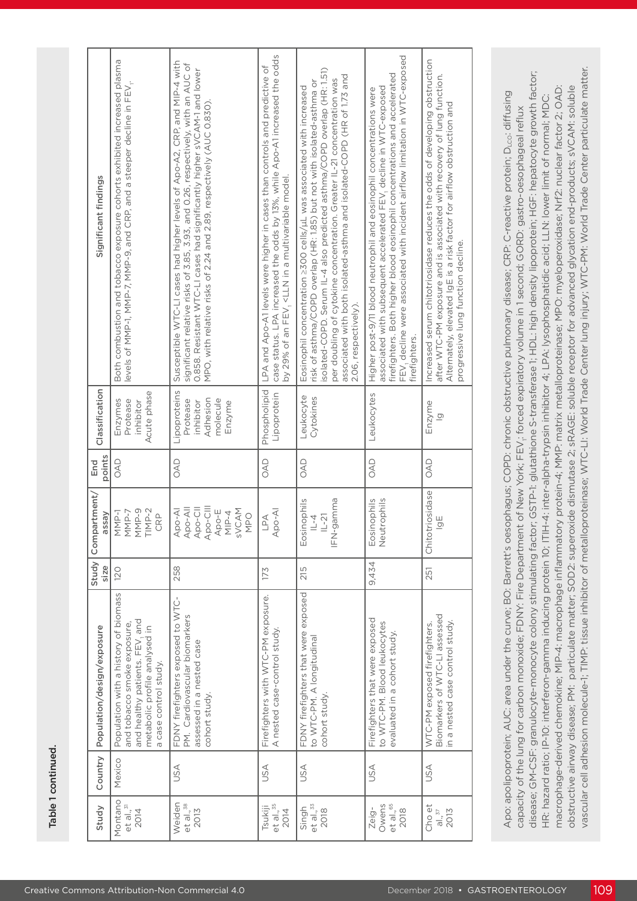| Population with a history of biomass<br>and tobacco smoke exposure,<br>Population/design/exposure<br>Country<br>Mexico | assay<br>size                                                                              |               |                                                                         | Significant findings                                                                                                                                                                                                                                                                                                                                                                                   |
|------------------------------------------------------------------------------------------------------------------------|--------------------------------------------------------------------------------------------|---------------|-------------------------------------------------------------------------|--------------------------------------------------------------------------------------------------------------------------------------------------------------------------------------------------------------------------------------------------------------------------------------------------------------------------------------------------------------------------------------------------------|
| and healthy patients. FEV, and<br>metabolic profile analysed in<br>a case control study.                               | $TIMP-2$<br>MMP-9<br>NMP-1<br>NMP-7<br>CRP<br>120                                          | points<br>OAD | Classification<br>Acute phase<br>Protease<br>inhibitor<br>Enzymes       | Both combustion and tobacco exposure cohorts exhibited increased plasma<br>levels of MMP-1, MMP-7, MMP-9, and CRP, and a steeper decline in FEV <sub>1</sub> .                                                                                                                                                                                                                                         |
| FDNY firefighters exposed to WTC-<br>PM. Cardiovascular biomarkers<br>assessed in a nested case<br>cohort study.       | Apo-CIII<br>Apo-All<br>Apo-Cll<br>SVCAM<br>Apo-AI<br>Apo-E<br>$MIP-4$<br><b>MPO</b><br>258 | OAD           | Lipoproteins<br>Adhesion<br>molecule<br>Protease<br>inhibitor<br>Enzyme | Susceptible WTC-LI cases had higher levels of Apo-A2, CRP, and MIP-4 with<br>significant relative risks of 3.85, 3.93, and 0.26, respectively, with an AUC of<br>0.858. Resistant WTC-LI cases had significantly higher sVCAM-1 and lower<br>MPO, with relative risks of 2.24 and 2.89, respectively (AUC 0.830).                                                                                      |
| Firefighters with WTC-PM exposure.<br>A nested case-control study.                                                     | Apo-AI<br>LPA<br>173                                                                       | OAD           | Phospholipid<br>Lipoprotein                                             | case status. LPA increased the odds by 13%, while Apo-A1 increased the odds<br>LPA and Apo-A1 levels were higher in cases than controls and predictive of<br>by 29% of an FEV, <lln a="" in="" model.<="" multivariable="" td=""></lln>                                                                                                                                                                |
| FDNY firefighters that were exposed<br>to WTC-PM. A longitudinal<br>cohort study.                                      | IFN-gamma<br>Eosinophils<br>$ L-2 $<br>$\overline{1}$<br>215                               | OAD           | Leukocyte<br>Cytokines                                                  | isolated-COPD. Serum IL-4 also predicted asthma/COPD overlap (HR: 1.51)<br>associated with both isolated-asthma and isolated-COPD (HR of 1.73 and<br>per doubling of cytokine concentration. Greater IL-21 concentration was<br>risk of asthma/COPD overlap (HR: 1.85) but not with isolated-asthma or<br>Eosinophil concentration ≥300 cells/uL was associated with increased<br>2.06, respectively). |
| Firefighters that were exposed<br>to WTC-PM. Blood leukocytes<br>evaluated in a cohort study.                          | Eosinophils<br>Neutrophils<br>9,434                                                        | OAD           | Leukocytes                                                              | FEV, decline were associated with incident airflow limitation in WTC-exposed<br>firefighters. Both higher blood eosinophil concentrations and accelerated<br>associated with subsequent accelerated FEV, decline in WTC-exposed<br>Higher post-9/11 blood neutrophil and eosinophil concentrations were<br>firefighters.                                                                               |
| Biomarkers of WTC-LI assessed<br>in a nested case control study.<br>WTC-PM exposed firefighters.                       | riosidase<br>$\overline{9}$<br>Chitotr<br>251                                              | OAD           | Enzyme<br>$\overline{\Omega}$                                           | Increased serum chitotriosidase reduces the odds of developing obstruction<br>after WTC-PM exposure and is associated with recovery of lung function.<br>Alternately, elevated IgE is a risk factor for airflow obstruction and<br>progressive lung function decline.                                                                                                                                  |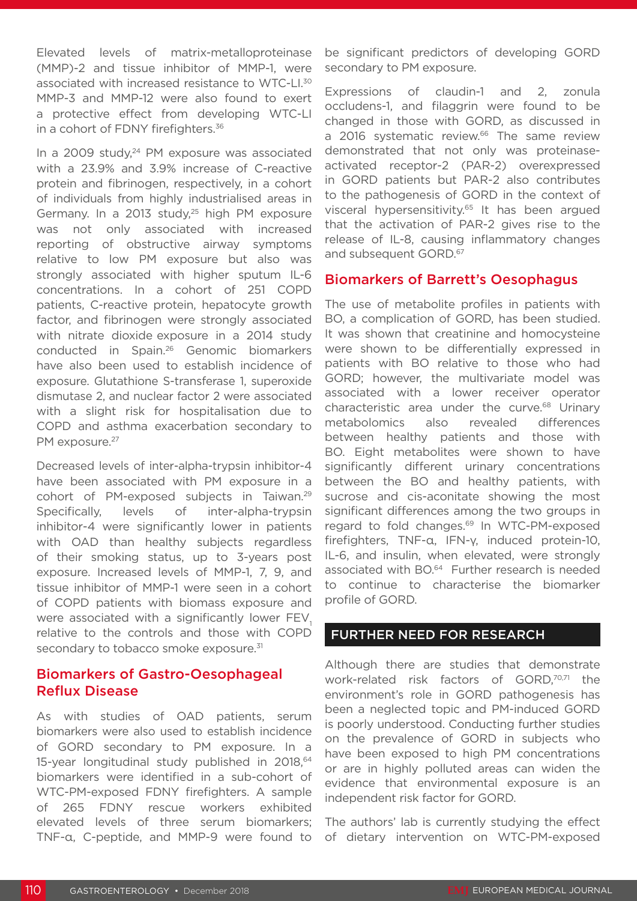Elevated levels of matrix-metalloproteinase (MMP)-2 and tissue inhibitor of MMP-1, were associated with increased resistance to WTC-LI.30 MMP-3 and MMP-12 were also found to exert a protective effect from developing WTC-LI in a cohort of FDNY firefighters.<sup>36</sup>

In a 2009 study,<sup>24</sup> PM exposure was associated with a 23.9% and 3.9% increase of C-reactive protein and fibrinogen, respectively, in a cohort of individuals from highly industrialised areas in Germany. In a 2013 study,<sup>25</sup> high PM exposure was not only associated with increased reporting of obstructive airway symptoms relative to low PM exposure but also was strongly associated with higher sputum IL-6 concentrations. In a cohort of 251 COPD patients, C-reactive protein, hepatocyte growth factor, and fibrinogen were strongly associated with nitrate dioxide exposure in a 2014 study conducted in Spain.26 Genomic biomarkers have also been used to establish incidence of exposure. Glutathione S-transferase 1, superoxide dismutase 2, and nuclear factor 2 were associated with a slight risk for hospitalisation due to COPD and asthma exacerbation secondary to PM exposure.<sup>27</sup>

Decreased levels of inter-alpha-trypsin inhibitor-4 have been associated with PM exposure in a cohort of PM-exposed subjects in Taiwan.29 Specifically, levels of inter-alpha-trypsin inhibitor-4 were significantly lower in patients with OAD than healthy subjects regardless of their smoking status, up to 3-years post exposure. Increased levels of MMP-1, 7, 9, and tissue inhibitor of MMP-1 were seen in a cohort of COPD patients with biomass exposure and were associated with a significantly lower FEV. relative to the controls and those with COPD secondary to tobacco smoke exposure.<sup>31</sup>

# Biomarkers of Gastro-Oesophageal Reflux Disease

As with studies of OAD patients, serum biomarkers were also used to establish incidence of GORD secondary to PM exposure. In a 15-year longitudinal study published in 2018,<sup>64</sup> biomarkers were identified in a sub-cohort of WTC-PM-exposed FDNY firefighters. A sample of 265 FDNY rescue workers exhibited elevated levels of three serum biomarkers; TNF-α, C-peptide, and MMP-9 were found to

be significant predictors of developing GORD secondary to PM exposure.

Expressions of claudin-1 and 2, zonula occludens-1, and filaggrin were found to be changed in those with GORD, as discussed in a 2016 systematic review.<sup>66</sup> The same review demonstrated that not only was proteinaseactivated receptor-2 (PAR-2) overexpressed in GORD patients but PAR-2 also contributes to the pathogenesis of GORD in the context of visceral hypersensitivity.<sup>65</sup> It has been argued that the activation of PAR-2 gives rise to the release of IL-8, causing inflammatory changes and subsequent GORD.<sup>67</sup>

## Biomarkers of Barrett's Oesophagus

The use of metabolite profiles in patients with BO, a complication of GORD, has been studied. It was shown that creatinine and homocysteine were shown to be differentially expressed in patients with BO relative to those who had GORD; however, the multivariate model was associated with a lower receiver operator characteristic area under the curve.<sup>68</sup> Urinary metabolomics also revealed differences between healthy patients and those with BO. Eight metabolites were shown to have significantly different urinary concentrations between the BO and healthy patients, with sucrose and cis-aconitate showing the most significant differences among the two groups in regard to fold changes.<sup>69</sup> In WTC-PM-exposed firefighters, TNF-α, IFN-γ, induced protein-10, IL-6, and insulin, when elevated, were strongly associated with BO.64 Further research is needed to continue to characterise the biomarker profile of GORD.

### FURTHER NEED FOR RESEARCH

Although there are studies that demonstrate work-related risk factors of GORD,<sup>70,71</sup> the environment's role in GORD pathogenesis has been a neglected topic and PM-induced GORD is poorly understood. Conducting further studies on the prevalence of GORD in subjects who have been exposed to high PM concentrations or are in highly polluted areas can widen the evidence that environmental exposure is an independent risk factor for GORD.

The authors' lab is currently studying the effect of dietary intervention on WTC-PM-exposed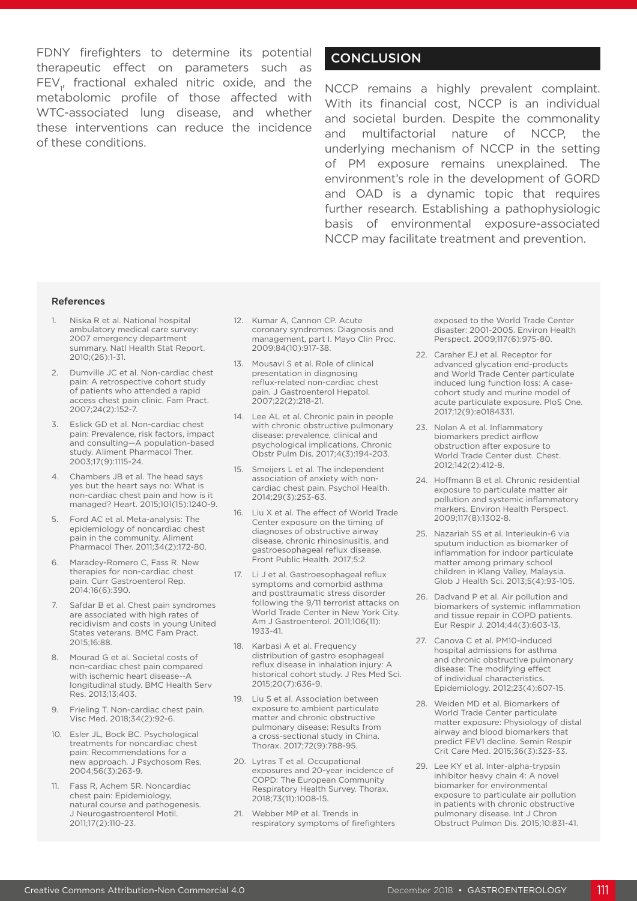FDNY firefighters to determine its potential therapeutic effect on parameters such as  $FEV<sub>1</sub>$ , fractional exhaled nitric oxide, and the metabolomic profile of those affected with WTC-associated lung disease, and whether these interventions can reduce the incidence of these conditions.

# **CONCLUSION**

NCCP remains a highly prevalent complaint. With its financial cost, NCCP is an individual and societal burden. Despite the commonality and multifactorial nature of NCCP, the underlying mechanism of NCCP in the setting of PM exposure remains unexplained. The environment's role in the development of GORD and OAD is a dynamic topic that requires further research. Establishing a pathophysiologic basis of environmental exposure-associated NCCP may facilitate treatment and prevention.

#### References

- 1. Niska R et al. National hospital ambulatory medical care survey: 2007 emergency department summary. Natl Health Stat Report. 2010;(26):1-31.
- 2. Dumville JC et al. Non-cardiac chest pain: A retrospective cohort study of patients who attended a rapid access chest pain clinic. Fam Pract. 2007;24(2):152-7.
- 3. Eslick GD et al. Non-cardiac chest pain: Prevalence, risk factors, impact and consulting—A population-based study. Aliment Pharmacol Ther. 2003;17(9):1115-24.
- 4. Chambers JB et al. The head says yes but the heart says no: What is non-cardiac chest pain and how is it managed? Heart. 2015;101(15):1240-9.
- 5. Ford AC et al. Meta-analysis: The epidemiology of noncardiac chest pain in the community. Aliment Pharmacol Ther. 2011;34(2):172-80.
- 6. Maradey-Romero C, Fass R. New therapies for non-cardiac chest pain. Curr Gastroenterol Rep. 2014;16(6):390.
- 7. Safdar B et al. Chest pain syndromes are associated with high rates of recidivism and costs in young United States veterans. BMC Fam Pract. 2015;16:88.
- Mourad G et al. Societal costs of non-cardiac chest pain compared with ischemic heart disease--A longitudinal study. BMC Health Serv Res. 2013;13:403.
- 9. Frieling T. Non-cardiac chest pain. Visc Med. 2018;34(2):92-6.
- 10. Esler JL, Bock BC. Psychological treatments for noncardiac chest pain: Recommendations for a new approach. J Psychosom Res. 2004;56(3):263-9.
- 11. Fass R, Achem SR. Noncardiac chest pain: Epidemiology, natural course and pathogenesis. J Neurogastroenterol Motil. 2011;17(2):110-23.
- 12. Kumar A, Cannon CP. Acute coronary syndromes: Diagnosis and management, part I. Mayo Clin Proc. 2009;84(10):917-38.
- 13. Mousavi S et al. Role of clinical presentation in diagnosing reflux-related non-cardiac chest pain. J Gastroenterol Hepatol. 2007;22(2):218-21.
- 14. Lee AL et al. Chronic pain in people with chronic obstructive pulmonary disease: prevalence, clinical and psychological implications. Chronic Obstr Pulm Dis. 2017;4(3):194-203.
- 15. Smeijers L et al. The independent association of anxiety with noncardiac chest pain. Psychol Health. 2014;29(3):253-63.
- 16. Liu X et al. The effect of World Trade Center exposure on the timing of diagnoses of obstructive airway disease, chronic rhinosinusitis, and gastroesophageal reflux disease. Front Public Health. 2017;5:2.
- 17. Li J et al. Gastroesophageal reflux symptoms and comorbid asthma and posttraumatic stress disorder following the 9/11 terrorist attacks on World Trade Center in New York City. Am J Gastroenterol. 2011;106(11): 1933-41.
- 18. Karbasi A et al. Frequency distribution of gastro esophageal reflux disease in inhalation injury: A historical cohort study. J Res Med Sci. 2015;20(7):636-9.
- 19. Liu S et al. Association between exposure to ambient particulate matter and chronic obstructive pulmonary disease: Results from a cross-sectional study in China. Thorax. 2017;72(9):788-95.
- 20. Lytras T et al. Occupational exposures and 20-year incidence of COPD: The European Community Respiratory Health Survey. Thorax. 2018;73(11):1008-15.
- 21. Webber MP et al. Trends in respiratory symptoms of firefighters

exposed to the World Trade Center disaster: 2001-2005. Environ Health Perspect. 2009;117(6):975-80.

- 22. Caraher EJ et al. Receptor for advanced glycation end-products and World Trade Center particulate induced lung function loss: A casecohort study and murine model of acute particulate exposure. PloS One. 2017;12(9):e0184331.
- 23. Nolan A et al. Inflammatory biomarkers predict airflow obstruction after exposure to World Trade Center dust. Chest. 2012;142(2):412-8.
- 24. Hoffmann B et al. Chronic residential exposure to particulate matter air pollution and systemic inflammatory markers. Environ Health Perspect. 2009;117(8):1302-8.
- 25. Nazariah SS et al. Interleukin-6 via sputum induction as biomarker of inflammation for indoor particulate matter among primary school children in Klang Valley, Malaysia. Glob J Health Sci. 2013;5(4):93-105.
- 26. Dadvand P et al. Air pollution and biomarkers of systemic inflammation and tissue repair in COPD patients. Eur Respir J. 2014;44(3):603-13.
- 27. Canova C et al. PM10-induced hospital admissions for asthma and chronic obstructive pulmonary disease: The modifying effect of individual characteristics. Epidemiology. 2012;23(4):607-15.
- 28. Weiden MD et al. Biomarkers of World Trade Center particulate matter exposure: Physiology of distal airway and blood biomarkers that predict FEV1 decline. Semin Respir Crit Care Med. 2015;36(3):323-33.
- 29. Lee KY et al. Inter-alpha-trypsin inhibitor heavy chain 4: A novel biomarker for environmental exposure to particulate air pollution in patients with chronic obstructive pulmonary disease. Int J Chron Obstruct Pulmon Dis. 2015;10:831-41.